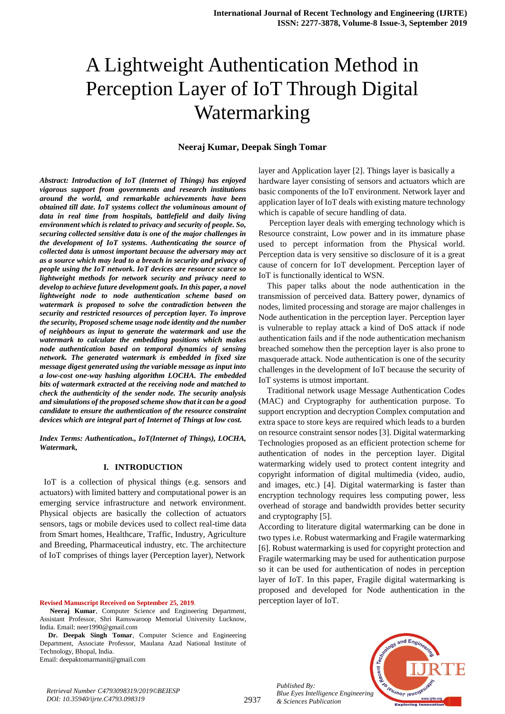# A Lightweight Authentication Method in Perception Layer of IoT Through Digital Watermarking

# **Neeraj Kumar, Deepak Singh Tomar**

*Abstract: Introduction of IoT (Internet of Things) has enjoyed vigorous support from governments and research institutions around the world, and remarkable achievements have been obtained till date. IoT systems collect the voluminous amount of data in real time from hospitals, battlefield and daily living environment which is related to privacy and security of people. So, securing collected sensitive data is one of the major challenges in the development of IoT systems. Authenticating the source of collected data is utmost important because the adversary may act as a source which may lead to a breach in security and privacy of people using the IoT network. IoT devices are resource scarce so lightweight methods for network security and privacy need to develop to achieve future development goals. In this paper, a novel lightweight node to node authentication scheme based on watermark is proposed to solve the contradiction between the security and restricted resources of perception layer. To improve the security, Proposed scheme usage node identity and the number of neighbours as input to generate the watermark and use the watermark to calculate the embedding positions which makes node authentication based on temporal dynamics of sensing network. The generated watermark is embedded in fixed size message digest generated using the variable message as input into a low-cost one-way hashing algorithm LOCHA. The embedded bits of watermark extracted at the receiving node and matched to check the authenticity of the sender node. The security analysis and simulations of the proposed scheme show that it can be a good candidate to ensure the authentication of the resource constraint devices which are integral part of Internet of Things at low cost.*

*Index Terms: Authentication., IoT(Internet of Things), LOCHA, Watermark,* 

# **I. INTRODUCTION**

 IoT is a collection of physical things (e.g. sensors and actuators) with limited battery and computational power is an emerging service infrastructure and network environment. Physical objects are basically the collection of actuators sensors, tags or mobile devices used to collect real-time data from Smart homes, Healthcare, Traffic, Industry, Agriculture and Breeding, Pharmaceutical industry, etc. The architecture of IoT comprises of things layer (Perception layer), Network

**Revised Manuscript Received on September 25, 2019**.

*Retrieval Number C4793098319/2019©BEIESP*

**Dr. Deepak Singh Tomar**, Computer Science and Engineering Department, Associate Professor, Maulana Azad National Institute of Technology, Bhopal, India.

Email: deepaktomarmanit@gmail.com

*DOI: 10.35940/ijrte.C4793.098319*

layer and Application layer [2]. Things layer is basically a hardware layer consisting of sensors and actuators which are basic components of the IoT environment. Network layer and application layer of IoT deals with existing mature technology which is capable of secure handling of data.

Perception layer deals with emerging technology which is Resource constraint, Low power and in its immature phase used to percept information from the Physical world. Perception data is very sensitive so disclosure of it is a great cause of concern for IoT development. Perception layer of IoT is functionally identical to WSN.

This paper talks about the node authentication in the transmission of perceived data. Battery power, dynamics of nodes, limited processing and storage are major challenges in Node authentication in the perception layer. Perception layer is vulnerable to replay attack a kind of DoS attack if node authentication fails and if the node authentication mechanism breached somehow then the perception layer is also prone to masquerade attack. Node authentication is one of the security challenges in the development of IoT because the security of IoT systems is utmost important.

Traditional network usage Message Authentication Codes (MAC) and Cryptography for authentication purpose. To support encryption and decryption Complex computation and extra space to store keys are required which leads to a burden on resource constraint sensor nodes [3]. Digital watermarking Technologies proposed as an efficient protection scheme for authentication of nodes in the perception layer. Digital watermarking widely used to protect content integrity and copyright information of digital multimedia (video, audio, and images, etc.) [4]. Digital watermarking is faster than encryption technology requires less computing power, less overhead of storage and bandwidth provides better security and cryptography [5].

According to literature digital watermarking can be done in two types i.e. Robust watermarking and Fragile watermarking [6]. Robust watermarking is used for copyright protection and Fragile watermarking may be used for authentication purpose so it can be used for authentication of nodes in perception layer of IoT. In this paper, Fragile digital watermarking is proposed and developed for Node authentication in the perception layer of IoT.





**Neeraj Kumar**, Computer Science and Engineering Department, Assistant Professor, Shri Ramswaroop Memorial University Lucknow, India. Email: neer1990@gmail.com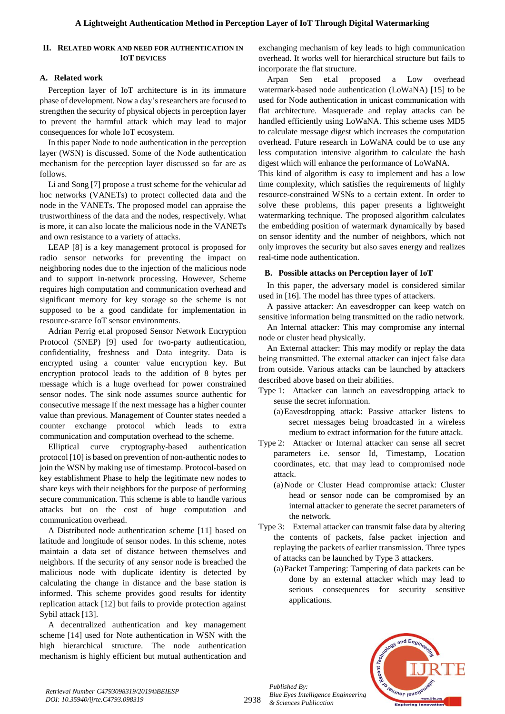# **II. RELATED WORK AND NEED FOR AUTHENTICATION IN IOT DEVICES**

# **A. Related work**

Perception layer of IoT architecture is in its immature phase of development. Now a day's researchers are focused to strengthen the security of physical objects in perception layer to prevent the harmful attack which may lead to major consequences for whole IoT ecosystem.

In this paper Node to node authentication in the perception layer (WSN) is discussed. Some of the Node authentication mechanism for the perception layer discussed so far are as follows.

Li and Song [7] propose a trust scheme for the vehicular ad hoc networks (VANETs) to protect collected data and the node in the VANETs. The proposed model can appraise the trustworthiness of the data and the nodes, respectively. What is more, it can also locate the malicious node in the VANETs and own resistance to a variety of attacks.

LEAP [8] is a key management protocol is proposed for radio sensor networks for preventing the impact on neighboring nodes due to the injection of the malicious node and to support in-network processing. However, Scheme requires high computation and communication overhead and significant memory for key storage so the scheme is not supposed to be a good candidate for implementation in resource-scarce IoT sensor environments.

Adrian Perrig et.al proposed Sensor Network Encryption Protocol (SNEP) [9] used for two-party authentication, confidentiality, freshness and Data integrity. Data is encrypted using a counter value encryption key. But encryption protocol leads to the addition of 8 bytes per message which is a huge overhead for power constrained sensor nodes. The sink node assumes source authentic for consecutive message If the next message has a higher counter value than previous. Management of Counter states needed a counter exchange protocol which leads to extra communication and computation overhead to the scheme.

Elliptical curve cryptography-based authentication protocol [10] is based on prevention of non-authentic nodes to join the WSN by making use of timestamp. Protocol-based on key establishment Phase to help the legitimate new nodes to share keys with their neighbors for the purpose of performing secure communication. This scheme is able to handle various attacks but on the cost of huge computation and communication overhead.

A Distributed node authentication scheme [11] based on latitude and longitude of sensor nodes. In this scheme, notes maintain a data set of distance between themselves and neighbors. If the security of any sensor node is breached the malicious node with duplicate identity is detected by calculating the change in distance and the base station is informed. This scheme provides good results for identity replication attack [12] but fails to provide protection against Sybil attack [13].

A decentralized authentication and key management scheme [14] used for Note authentication in WSN with the high hierarchical structure. The node authentication mechanism is highly efficient but mutual authentication and exchanging mechanism of key leads to high communication overhead. It works well for hierarchical structure but fails to incorporate the flat structure.

Arpan Sen et.al proposed a Low overhead watermark-based node authentication (LoWaNA) [15] to be used for Node authentication in unicast communication with flat architecture. Masquerade and replay attacks can be handled efficiently using LoWaNA. This scheme uses MD5 to calculate message digest which increases the computation overhead. Future research in LoWaNA could be to use any less computation intensive algorithm to calculate the hash digest which will enhance the performance of LoWaNA.

This kind of algorithm is easy to implement and has a low time complexity, which satisfies the requirements of highly resource-constrained WSNs to a certain extent. In order to solve these problems, this paper presents a lightweight watermarking technique. The proposed algorithm calculates the embedding position of watermark dynamically by based on sensor identity and the number of neighbors, which not only improves the security but also saves energy and realizes real-time node authentication.

# **B. Possible attacks on Perception layer of IoT**

In this paper, the adversary model is considered similar used in [16]. The model has three types of attackers.

A passive attacker: An eavesdropper can keep watch on sensitive information being transmitted on the radio network.

An Internal attacker: This may compromise any internal node or cluster head physically.

An External attacker: This may modify or replay the data being transmitted. The external attacker can inject false data from outside. Various attacks can be launched by attackers described above based on their abilities.

- Type 1: Attacker can launch an eavesdropping attack to sense the secret information.
	- (a)Eavesdropping attack: Passive attacker listens to secret messages being broadcasted in a wireless medium to extract information for the future attack.
- Type 2: Attacker or Internal attacker can sense all secret parameters i.e. sensor Id, Timestamp, Location coordinates, etc. that may lead to compromised node attack.
	- (a)Node or Cluster Head compromise attack: Cluster head or sensor node can be compromised by an internal attacker to generate the secret parameters of the network.
- Type 3: External attacker can transmit false data by altering the contents of packets, false packet injection and replaying the packets of earlier transmission. Three types of attacks can be launched by Type 3 attackers.
	- (a)Packet Tampering: Tampering of data packets can be done by an external attacker which may lead to serious consequences for security sensitive applications.



2938

*Published By: Blue Eyes Intelligence Engineering & Sciences Publication*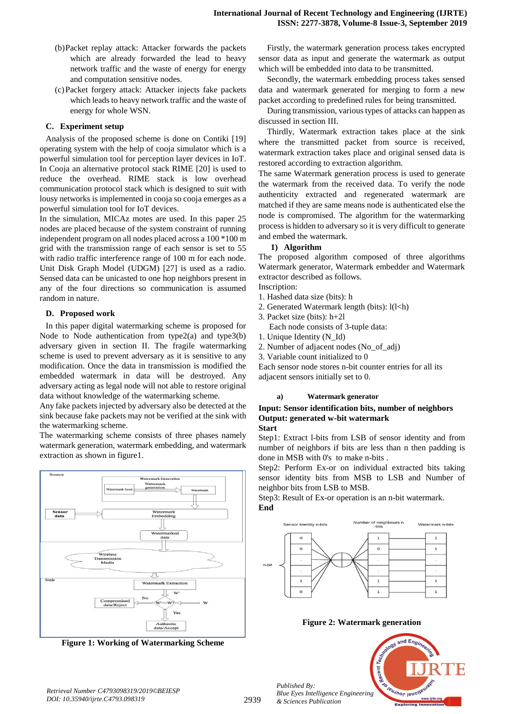- (b)Packet replay attack: Attacker forwards the packets which are already forwarded the lead to heavy network traffic and the waste of energy for energy and computation sensitive nodes.
- (c)Packet forgery attack: Attacker injects fake packets which leads to heavy network traffic and the waste of energy for whole WSN.

# **C. Experiment setup**

Analysis of the proposed scheme is done on Contiki [19] operating system with the help of cooja simulator which is a powerful simulation tool for perception layer devices in IoT. In Cooja an alternative protocol stack RIME [20] is used to reduce the overhead. RIME stack is low overhead communication protocol stack which is designed to suit with lousy networks is implemented in cooja so cooja emerges as a powerful simulation tool for IoT devices.

In the simulation, MICAz motes are used. In this paper 25 nodes are placed because of the system constraint of running independent program on all nodes placed across a 100 \*100 m grid with the transmission range of each sensor is set to 55 with radio traffic interference range of 100 m for each node. Unit Disk Graph Model (UDGM) [27] is used as a radio. Sensed data can be unicasted to one hop neighbors present in any of the four directions so communication is assumed random in nature.

# **D. Proposed work**

In this paper digital watermarking scheme is proposed for Node to Node authentication from type $2(a)$  and type $3(b)$ adversary given in section II. The fragile watermarking scheme is used to prevent adversary as it is sensitive to any modification. Once the data in transmission is modified the embedded watermark in data will be destroyed. Any adversary acting as legal node will not able to restore original data without knowledge of the watermarking scheme.

Any fake packets injected by adversary also be detected at the sink because fake packets may not be verified at the sink with the watermarking scheme.

The watermarking scheme consists of three phases namely watermark generation, watermark embedding, and watermark extraction as shown in figure1.



**Figure 1: Working of Watermarking Scheme**

Firstly, the watermark generation process takes encrypted sensor data as input and generate the watermark as output which will be embedded into data to be transmitted.

Secondly, the watermark embedding process takes sensed data and watermark generated for merging to form a new packet according to predefined rules for being transmitted.

During transmission, various types of attacks can happen as discussed in section III.

Thirdly, Watermark extraction takes place at the sink where the transmitted packet from source is received, watermark extraction takes place and original sensed data is restored according to extraction algorithm.

The same Watermark generation process is used to generate the watermark from the received data. To verify the node authenticity extracted and regenerated watermark are matched if they are same means node is authenticated else the node is compromised. The algorithm for the watermarking process is hidden to adversary so it is very difficult to generate and embed the watermark.

# **1) Algorithm**

The proposed algorithm composed of three algorithms Watermark generator, Watermark embedder and Watermark extractor described as follows.

- Inscription: 1. Hashed data size (bits): h
- 2. Generated Watermark length (bits): l(l<h)
- 3. Packet size (bits): h+2l
	- Each node consists of 3-tuple data:
- 1. Unique Identity (N\_Id)
- 2. Number of adjacent nodes (No\_of\_adj)
- 3. Variable count initialized to 0

Each sensor node stores n-bit counter entries for all its adjacent sensors initially set to 0.

# **a) Watermark generator**

### **Input: Sensor identification bits, number of neighbors Output: generated w-bit watermark Start**

Step1: Extract l-bits from LSB of sensor identity and from number of neighbors if bits are less than n then padding is done in MSB with 0's to make n-bits .

Step2: Perform Ex-or on individual extracted bits taking sensor identity bits from MSB to LSB and Number of neighbor bits from LSB to MSB.

Step3: Result of Ex-or operation is an n-bit watermark. **End**



**Figure 2: Watermark generation**



and Engi

*Published By:*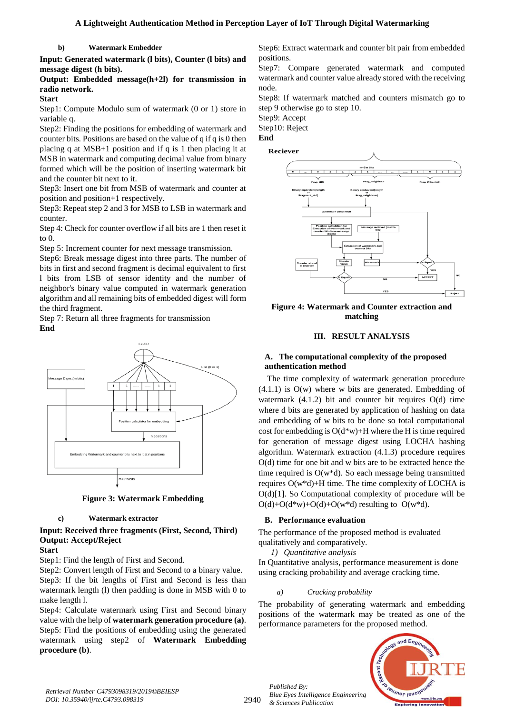**b) Watermark Embedder**

**Input: Generated watermark (l bits), Counter (l bits) and message digest (h bits).**

**Output: Embedded message(h+2l) for transmission in radio network.**

# **Start**

Step1: Compute Modulo sum of watermark (0 or 1) store in variable q.

Step2: Finding the positions for embedding of watermark and counter bits. Positions are based on the value of q if q is 0 then placing q at MSB+1 position and if q is 1 then placing it at MSB in watermark and computing decimal value from binary formed which will be the position of inserting watermark bit and the counter bit next to it.

Step3: Insert one bit from MSB of watermark and counter at position and position+1 respectively.

Step3: Repeat step 2 and 3 for MSB to LSB in watermark and counter.

Step 4: Check for counter overflow if all bits are 1 then reset it to 0.

Step 5: Increment counter for next message transmission.

Step6: Break message digest into three parts. The number of bits in first and second fragment is decimal equivalent to first l bits from LSB of sensor identity and the number of neighbor's binary value computed in watermark generation algorithm and all remaining bits of embedded digest will form the third fragment.

Step 7: Return all three fragments for transmission **End**



**Figure 3: Watermark Embedding**

#### **c) Watermark extractor**

# **Input: Received three fragments (First, Second, Third) Output: Accept/Reject**

#### **Start**

Step1: Find the length of First and Second.

Step2: Convert length of First and Second to a binary value. Step3: If the bit lengths of First and Second is less than watermark length (l) then padding is done in MSB with 0 to make length l.

Step4: Calculate watermark using First and Second binary value with the help of **watermark generation procedure (a)**. Step5: Find the positions of embedding using the generated watermark using step2 of **Watermark Embedding procedure (b)**.

Step6: Extract watermark and counter bit pair from embedded positions.

Step7: Compare generated watermark and computed watermark and counter value already stored with the receiving node.

Step8: If watermark matched and counters mismatch go to step 9 otherwise go to step 10.

Step9: Accept

Step10: Reject

#### **End**

# Reciever



**Figure 4: Watermark and Counter extraction and matching**

# **III. RESULT ANALYSIS**

# **A. The computational complexity of the proposed authentication method**

The time complexity of watermark generation procedure  $(4.1.1)$  is  $O(w)$  where w bits are generated. Embedding of watermark  $(4.1.2)$  bit and counter bit requires  $O(d)$  time where d bits are generated by application of hashing on data and embedding of w bits to be done so total computational cost for embedding is O(d\*w)+H where the H is time required for generation of message digest using LOCHA hashing algorithm. Watermark extraction (4.1.3) procedure requires O(d) time for one bit and w bits are to be extracted hence the time required is O(w\*d). So each message being transmitted requires O(w\*d)+H time. The time complexity of LOCHA is O(d)[1]. So Computational complexity of procedure will be  $O(d) + O(d*w) + O(d) + O(w*d)$  resulting to  $O(w*d)$ .

# **B. Performance evaluation**

The performance of the proposed method is evaluated qualitatively and comparatively.

*1) Quantitative analysis*

In Quantitative analysis, performance measurement is done using cracking probability and average cracking time.

# *a) Cracking probability*

The probability of generating watermark and embedding positions of the watermark may be treated as one of the performance parameters for the proposed method.



2940

*Published By: Blue Eyes Intelligence Engineering & Sciences Publication*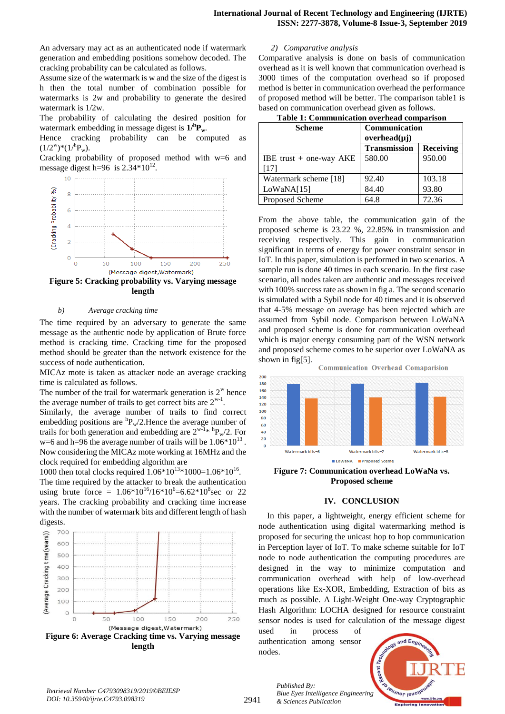An adversary may act as an authenticated node if watermark generation and embedding positions somehow decoded. The cracking probability can be calculated as follows.

Assume size of the watermark is w and the size of the digest is h then the total number of combination possible for watermarks is 2w and probability to generate the desired watermark is 1/2w.

The probability of calculating the desired position for watermark embedding in message digest is **1/<sup>h</sup>Pw**.

Hence cracking probability can be computed as  $(1/2^w)^*(1/hP_w)$ .

Cracking probability of proposed method with w=6 and message digest h=96 is  $2.34*10^{12}$ .



**Figure 5: Cracking probability vs. Varying message length**

# *b) Average cracking time*

The time required by an adversary to generate the same message as the authentic node by application of Brute force method is cracking time. Cracking time for the proposed method should be greater than the network existence for the success of node authentication.

MICAz mote is taken as attacker node an average cracking time is calculated as follows.

The number of the trail for watermark generation is  $2^w$  hence the average number of trails to get correct bits are  $2^{w-1}$ .

Similarly, the average number of trails to find correct embedding positions are  ${}^hP_w/2$ . Hence the average number of trails for both generation and embedding are  $2^{w-1}$ <sup>\*</sup>  ${}^hP_w/2$ . For w=6 and h=96 the average number of trails will be  $1.06*10^{13}$ . Now considering the MICAz mote working at 16MHz and the clock required for embedding algorithm are

1000 then total clocks required  $1.06*10^{13}*1000=1.06*10^{16}$ . The time required by the attacker to break the authentication using brute force =  $1.06*10^{16}/16*10^{6}=6.62*10^{8}$  sec or 22 years. The cracking probability and cracking time increase with the number of watermark bits and different length of hash digests.



## *2) Comparative analysis*

Comparative analysis is done on basis of communication overhead as it is well known that communication overhead is 3000 times of the computation overhead so if proposed method is better in communication overhead the performance of proposed method will be better. The comparison table1 is based on communication overhead given as follows.

| <b>Scheme</b>             | Communication<br>$overhead(\mu j)$ |           |
|---------------------------|------------------------------------|-----------|
|                           | <b>Transmission</b>                | Receiving |
| IBE trust $+$ one-way AKE | 580.00                             | 950.00    |
| [17]                      |                                    |           |
| Watermark scheme [18]     | 92.40                              | 103.18    |
| LoWANA[15]                | 84.40                              | 93.80     |
| Proposed Scheme           | 64.8                               | 72.36     |

From the above table, the communication gain of the proposed scheme is 23.22 %, 22.85% in transmission and receiving respectively. This gain in communication significant in terms of energy for power constraint sensor in IoT. In this paper, simulation is performed in two scenarios. A sample run is done 40 times in each scenario. In the first case scenario, all nodes taken are authentic and messages received with 100% success rate as shown in fig a. The second scenario is simulated with a Sybil node for 40 times and it is observed that 4-5% message on average has been rejected which are assumed from Sybil node. Comparison between LoWaNA and proposed scheme is done for communication overhead which is major energy consuming part of the WSN network and proposed scheme comes to be superior over LoWaNA as shown in fig[5].

**Communication Overhead Comaparision** 



**Figure 7: Communication overhead LoWaNa vs. Proposed scheme**

#### **IV. CONCLUSION**

In this paper, a lightweight, energy efficient scheme for node authentication using digital watermarking method is proposed for securing the unicast hop to hop communication in Perception layer of IoT. To make scheme suitable for IoT node to node authentication the computing procedures are designed in the way to minimize computation and communication overhead with help of low-overhead operations like Ex-XOR, Embedding, Extraction of bits as much as possible. A Light-Weight One-way Cryptographic Hash Algorithm: LOCHA designed for resource constraint sensor nodes is used for calculation of the message digest

used in process of authentication among sensor nodes.

*& Sciences Publication* 

*Published By:*